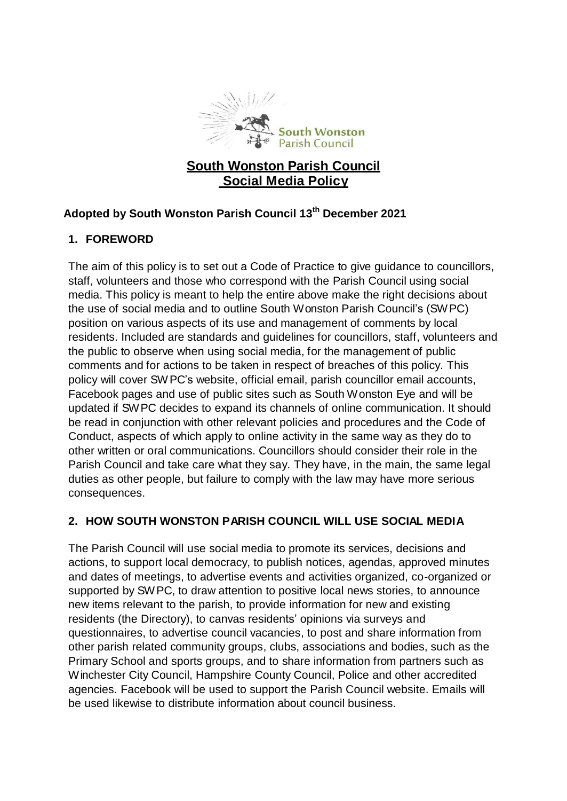

# **South Wonston Parish Council Social Media Policy**

# **Adopted by South Wonston Parish Council 13 th December 2021**

### **1. FOREWORD**

The aim of this policy is to set out a Code of Practice to give guidance to councillors, staff, volunteers and those who correspond with the Parish Council using social media. This policy is meant to help the entire above make the right decisions about the use of social media and to outline South Wonston Parish Council's (SWPC) position on various aspects of its use and management of comments by local residents. Included are standards and guidelines for councillors, staff, volunteers and the public to observe when using social media, for the management of public comments and for actions to be taken in respect of breaches of this policy. This policy will cover SWPC's website, official email, parish councillor email accounts, Facebook pages and use of public sites such as South Wonston Eye and will be updated if SWPC decides to expand its channels of online communication. It should be read in conjunction with other relevant policies and procedures and the Code of Conduct, aspects of which apply to online activity in the same way as they do to other written or oral communications. Councillors should consider their role in the Parish Council and take care what they say. They have, in the main, the same legal duties as other people, but failure to comply with the law may have more serious consequences.

# **2. HOW SOUTH WONSTON PARISH COUNCIL WILL USE SOCIAL MEDIA**

The Parish Council will use social media to promote its services, decisions and actions, to support local democracy, to publish notices, agendas, approved minutes and dates of meetings, to advertise events and activities organized, co-organized or supported by SWPC, to draw attention to positive local news stories, to announce new items relevant to the parish, to provide information for new and existing residents (the Directory), to canvas residents' opinions via surveys and questionnaires, to advertise council vacancies, to post and share information from other parish related community groups, clubs, associations and bodies, such as the Primary School and sports groups, and to share information from partners such as Winchester City Council, Hampshire County Council, Police and other accredited agencies. Facebook will be used to support the Parish Council website. Emails will be used likewise to distribute information about council business.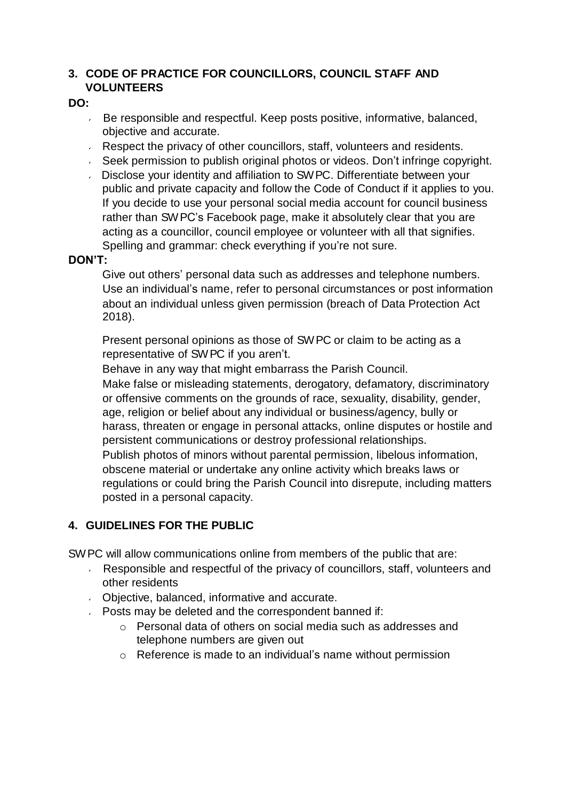### **3. CODE OF PRACTICE FOR COUNCILLORS, COUNCIL STAFF AND VOLUNTEERS**

#### **DO:**

- Be responsible and respectful. Keep posts positive, informative, balanced, objective and accurate.
- Respect the privacy of other councillors, staff, volunteers and residents.
- Seek permission to publish original photos or videos. Don't infringe copyright.
- Disclose your identity and affiliation to SWPC. Differentiate between your public and private capacity and follow the Code of Conduct if it applies to you. If you decide to use your personal social media account for council business rather than SWPC's Facebook page, make it absolutely clear that you are acting as a councillor, council employee or volunteer with all that signifies. Spelling and grammar: check everything if you're not sure.

#### **DON'T:**

Give out others' personal data such as addresses and telephone numbers. Use an individual's name, refer to personal circumstances or post information about an individual unless given permission (breach of Data Protection Act 2018).

Present personal opinions as those of SWPC or claim to be acting as a representative of SWPC if you aren't.

Behave in any way that might embarrass the Parish Council.

Make false or misleading statements, derogatory, defamatory, discriminatory or offensive comments on the grounds of race, sexuality, disability, gender, age, religion or belief about any individual or business/agency, bully or harass, threaten or engage in personal attacks, online disputes or hostile and persistent communications or destroy professional relationships. Publish photos of minors without parental permission, libelous information, obscene material or undertake any online activity which breaks laws or regulations or could bring the Parish Council into disrepute, including matters posted in a personal capacity.

#### **4. GUIDELINES FOR THE PUBLIC**

SWPC will allow communications online from members of the public that are:

- Responsible and respectful of the privacy of councillors, staff, volunteers and other residents
- Objective, balanced, informative and accurate.
- **Posts may be deleted and the correspondent banned if:** 
	- o Personal data of others on social media such as addresses and telephone numbers are given out
	- o Reference is made to an individual's name without permission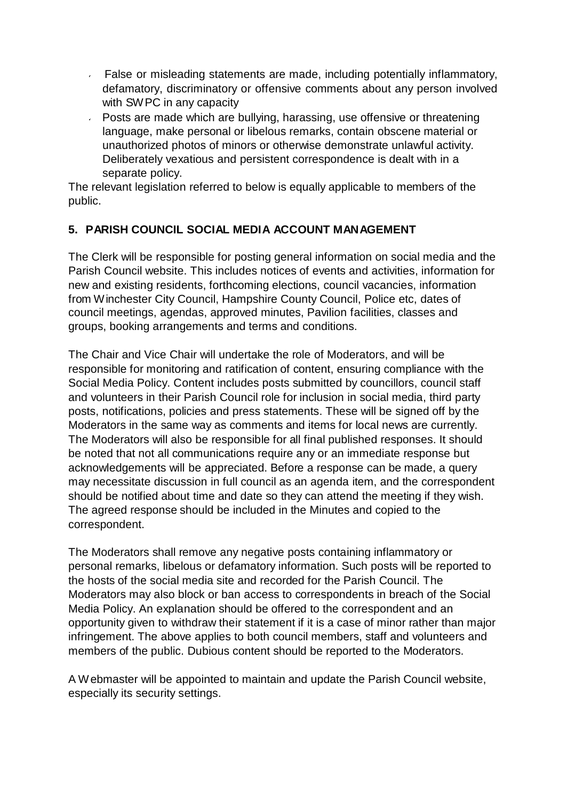- False or misleading statements are made, including potentially inflammatory, defamatory, discriminatory or offensive comments about any person involved with SWPC in any capacity
- Posts are made which are bullying, harassing, use offensive or threatening language, make personal or libelous remarks, contain obscene material or unauthorized photos of minors or otherwise demonstrate unlawful activity. Deliberately vexatious and persistent correspondence is dealt with in a separate policy.

The relevant legislation referred to below is equally applicable to members of the public.

### **5. PARISH COUNCIL SOCIAL MEDIA ACCOUNT MANAGEMENT**

The Clerk will be responsible for posting general information on social media and the Parish Council website. This includes notices of events and activities, information for new and existing residents, forthcoming elections, council vacancies, information from Winchester City Council, Hampshire County Council, Police etc, dates of council meetings, agendas, approved minutes, Pavilion facilities, classes and groups, booking arrangements and terms and conditions.

The Chair and Vice Chair will undertake the role of Moderators, and will be responsible for monitoring and ratification of content, ensuring compliance with the Social Media Policy. Content includes posts submitted by councillors, council staff and volunteers in their Parish Council role for inclusion in social media, third party posts, notifications, policies and press statements. These will be signed off by the Moderators in the same way as comments and items for local news are currently. The Moderators will also be responsible for all final published responses. It should be noted that not all communications require any or an immediate response but acknowledgements will be appreciated. Before a response can be made, a query may necessitate discussion in full council as an agenda item, and the correspondent should be notified about time and date so they can attend the meeting if they wish. The agreed response should be included in the Minutes and copied to the correspondent.

The Moderators shall remove any negative posts containing inflammatory or personal remarks, libelous or defamatory information. Such posts will be reported to the hosts of the social media site and recorded for the Parish Council. The Moderators may also block or ban access to correspondents in breach of the Social Media Policy. An explanation should be offered to the correspondent and an opportunity given to withdraw their statement if it is a case of minor rather than major infringement. The above applies to both council members, staff and volunteers and members of the public. Dubious content should be reported to the Moderators.

A Webmaster will be appointed to maintain and update the Parish Council website, especially its security settings.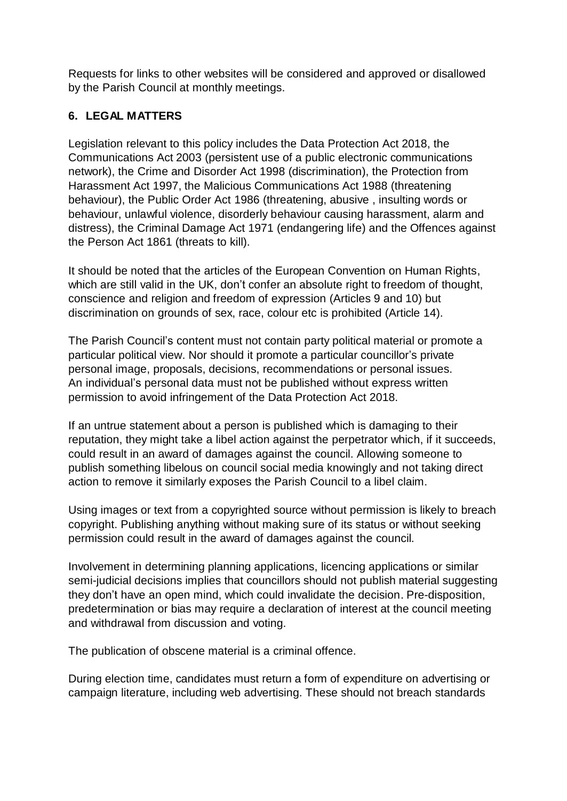Requests for links to other websites will be considered and approved or disallowed by the Parish Council at monthly meetings.

## **6. LEGAL MATTERS**

Legislation relevant to this policy includes the Data Protection Act 2018, the Communications Act 2003 (persistent use of a public electronic communications network), the Crime and Disorder Act 1998 (discrimination), the Protection from Harassment Act 1997, the Malicious Communications Act 1988 (threatening behaviour), the Public Order Act 1986 (threatening, abusive , insulting words or behaviour, unlawful violence, disorderly behaviour causing harassment, alarm and distress), the Criminal Damage Act 1971 (endangering life) and the Offences against the Person Act 1861 (threats to kill).

It should be noted that the articles of the European Convention on Human Rights, which are still valid in the UK, don't confer an absolute right to freedom of thought, conscience and religion and freedom of expression (Articles 9 and 10) but discrimination on grounds of sex, race, colour etc is prohibited (Article 14).

The Parish Council's content must not contain party political material or promote a particular political view. Nor should it promote a particular councillor's private personal image, proposals, decisions, recommendations or personal issues. An individual's personal data must not be published without express written permission to avoid infringement of the Data Protection Act 2018.

If an untrue statement about a person is published which is damaging to their reputation, they might take a libel action against the perpetrator which, if it succeeds, could result in an award of damages against the council. Allowing someone to publish something libelous on council social media knowingly and not taking direct action to remove it similarly exposes the Parish Council to a libel claim.

Using images or text from a copyrighted source without permission is likely to breach copyright. Publishing anything without making sure of its status or without seeking permission could result in the award of damages against the council.

Involvement in determining planning applications, licencing applications or similar semi-judicial decisions implies that councillors should not publish material suggesting they don't have an open mind, which could invalidate the decision. Pre-disposition, predetermination or bias may require a declaration of interest at the council meeting and withdrawal from discussion and voting.

The publication of obscene material is a criminal offence.

During election time, candidates must return a form of expenditure on advertising or campaign literature, including web advertising. These should not breach standards